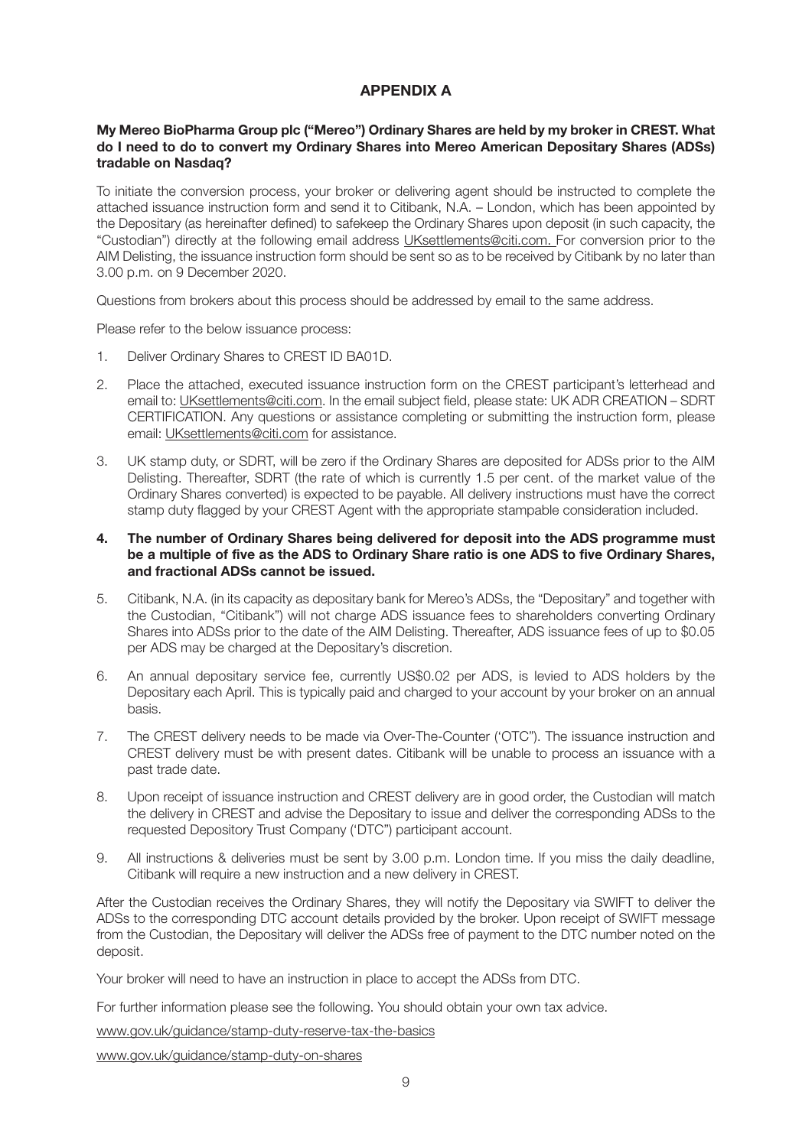## **APPENDIX A**

## **My Mereo BioPharma Group plc ("Mereo") Ordinary Shares are held by my broker in CREST. What do I need to do to convert my Ordinary Shares into Mereo American Depositary Shares (ADSs) tradable on Nasdaq?**

To initiate the conversion process, your broker or delivering agent should be instructed to complete the attached issuance instruction form and send it to Citibank, N.A. – London, which has been appointed by the Depositary (as hereinafter defined) to safekeep the Ordinary Shares upon deposit (in such capacity, the "Custodian") directly at the following email address UKsettlements@citi.com. For conversion prior to the AIM Delisting, the issuance instruction form should be sent so as to be received by Citibank by no later than 3.00 p.m. on 9 December 2020.

Questions from brokers about this process should be addressed by email to the same address.

Please refer to the below issuance process:

- 1. Deliver Ordinary Shares to CREST ID BA01D.
- 2. Place the attached, executed issuance instruction form on the CREST participant's letterhead and email to: UKsettlements@citi.com. In the email subject field, please state: UK ADR CREATION – SDRT CERTIFICATION. Any questions or assistance completing or submitting the instruction form, please email: UKsettlements@citi.com for assistance.
- 3. UK stamp duty, or SDRT, will be zero if the Ordinary Shares are deposited for ADSs prior to the AIM Delisting. Thereafter, SDRT (the rate of which is currently 1.5 per cent. of the market value of the Ordinary Shares converted) is expected to be payable. All delivery instructions must have the correct stamp duty flagged by your CREST Agent with the appropriate stampable consideration included.

## **4. The number of Ordinary Shares being delivered for deposit into the ADS programme must be a multiple of five as the ADS to Ordinary Share ratio is one ADS to five Ordinary Shares, and fractional ADSs cannot be issued.**

- 5. Citibank, N.A. (in its capacity as depositary bank for Mereo's ADSs, the "Depositary" and together with the Custodian, "Citibank") will not charge ADS issuance fees to shareholders converting Ordinary Shares into ADSs prior to the date of the AIM Delisting. Thereafter, ADS issuance fees of up to \$0.05 per ADS may be charged at the Depositary's discretion.
- 6. An annual depositary service fee, currently US\$0.02 per ADS, is levied to ADS holders by the Depositary each April. This is typically paid and charged to your account by your broker on an annual basis.
- 7. The CREST delivery needs to be made via Over-The-Counter ('OTC"). The issuance instruction and CREST delivery must be with present dates. Citibank will be unable to process an issuance with a past trade date.
- 8. Upon receipt of issuance instruction and CREST delivery are in good order, the Custodian will match the delivery in CREST and advise the Depositary to issue and deliver the corresponding ADSs to the requested Depository Trust Company ('DTC") participant account.
- 9. All instructions & deliveries must be sent by 3.00 p.m. London time. If you miss the daily deadline, Citibank will require a new instruction and a new delivery in CREST.

After the Custodian receives the Ordinary Shares, they will notify the Depositary via SWIFT to deliver the ADSs to the corresponding DTC account details provided by the broker. Upon receipt of SWIFT message from the Custodian, the Depositary will deliver the ADSs free of payment to the DTC number noted on the deposit.

Your broker will need to have an instruction in place to accept the ADSs from DTC.

For further information please see the following. You should obtain your own tax advice.

www.gov.uk/guidance/stamp-duty-reserve-tax-the-basics

www.gov.uk/guidance/stamp-duty-on-shares